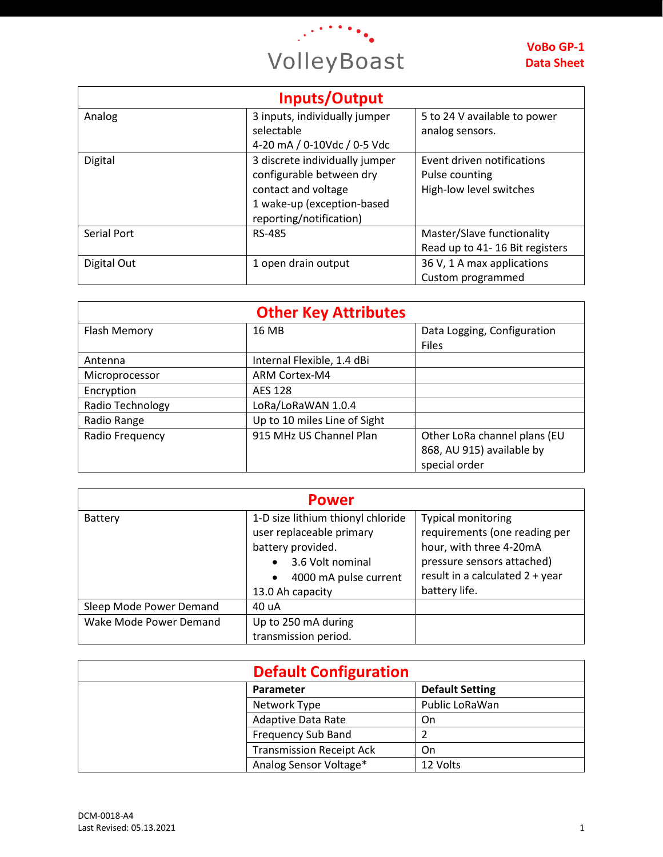

| Inputs/Output      |                                |                                |
|--------------------|--------------------------------|--------------------------------|
| Analog             | 3 inputs, individually jumper  | 5 to 24 V available to power   |
|                    | selectable                     | analog sensors.                |
|                    | 4-20 mA / 0-10Vdc / 0-5 Vdc    |                                |
| Digital            | 3 discrete individually jumper | Event driven notifications     |
|                    | configurable between dry       | Pulse counting                 |
|                    | contact and voltage            | High-low level switches        |
|                    | 1 wake-up (exception-based     |                                |
|                    | reporting/notification)        |                                |
| <b>Serial Port</b> | RS-485                         | Master/Slave functionality     |
|                    |                                | Read up to 41-16 Bit registers |
| Digital Out        | 1 open drain output            | 36 V, 1 A max applications     |
|                    |                                | Custom programmed              |

|                  | <b>Other Key Attributes</b>  |                              |
|------------------|------------------------------|------------------------------|
| Flash Memory     | 16 MB                        | Data Logging, Configuration  |
|                  |                              | <b>Files</b>                 |
| Antenna          | Internal Flexible, 1.4 dBi   |                              |
| Microprocessor   | ARM Cortex-M4                |                              |
| Encryption       | <b>AES 128</b>               |                              |
| Radio Technology | LoRa/LoRaWAN 1.0.4           |                              |
| Radio Range      | Up to 10 miles Line of Sight |                              |
| Radio Frequency  | 915 MHz US Channel Plan      | Other LoRa channel plans (EU |
|                  |                              | 868, AU 915) available by    |
|                  |                              | special order                |

| <b>Power</b>            |                                                                                                                                                     |                                                                                                                                                                         |
|-------------------------|-----------------------------------------------------------------------------------------------------------------------------------------------------|-------------------------------------------------------------------------------------------------------------------------------------------------------------------------|
| Battery                 | 1-D size lithium thionyl chloride<br>user replaceable primary<br>battery provided.<br>3.6 Volt nominal<br>4000 mA pulse current<br>13.0 Ah capacity | <b>Typical monitoring</b><br>requirements (one reading per<br>hour, with three 4-20mA<br>pressure sensors attached)<br>result in a calculated 2 + year<br>battery life. |
| Sleep Mode Power Demand | 40 uA                                                                                                                                               |                                                                                                                                                                         |
| Wake Mode Power Demand  | Up to 250 mA during<br>transmission period.                                                                                                         |                                                                                                                                                                         |

| <b>Default Configuration</b> |                                 |                        |
|------------------------------|---------------------------------|------------------------|
|                              | Parameter                       | <b>Default Setting</b> |
|                              | Network Type                    | Public LoRaWan         |
|                              | Adaptive Data Rate              | On                     |
|                              | <b>Frequency Sub Band</b>       |                        |
|                              | <b>Transmission Receipt Ack</b> | On                     |
|                              | Analog Sensor Voltage*          | 12 Volts               |